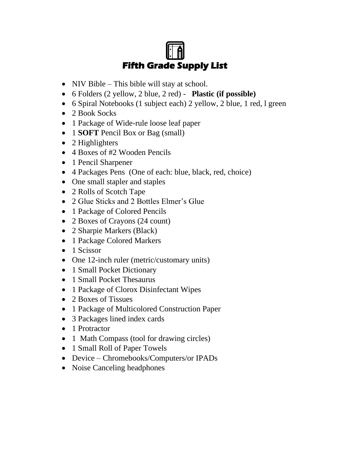## **Fifth Grade Supply List**

- NIV Bible This bible will stay at school.
- 6 Folders (2 yellow, 2 blue, 2 red) **Plastic (if possible)**
- 6 Spiral Notebooks (1 subject each) 2 yellow, 2 blue, 1 red, 1 green
- 2 Book Socks
- 1 Package of Wide-rule loose leaf paper
- 1 **SOFT** Pencil Box or Bag (small)
- 2 Highlighters
- 4 Boxes of #2 Wooden Pencils
- 1 Pencil Sharpener
- 4 Packages Pens (One of each: blue, black, red, choice)
- One small stapler and staples
- 2 Rolls of Scotch Tape
- 2 Glue Sticks and 2 Bottles Elmer's Glue
- 1 Package of Colored Pencils
- 2 Boxes of Crayons (24 count)
- 2 Sharpie Markers (Black)
- 1 Package Colored Markers
- 1 Scissor
- One 12-inch ruler (metric/customary units)
- 1 Small Pocket Dictionary
- 1 Small Pocket Thesaurus
- 1 Package of Clorox Disinfectant Wipes
- 2 Boxes of Tissues
- 1 Package of Multicolored Construction Paper
- 3 Packages lined index cards
- 1 Protractor
- 1 Math Compass (tool for drawing circles)
- 1 Small Roll of Paper Towels
- Device Chromebooks/Computers/or IPADs
- Noise Canceling headphones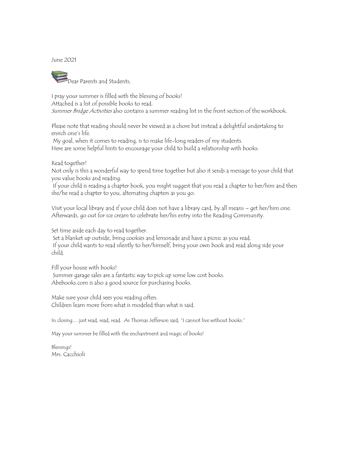June 2021



I pray your summer is filled with the blessing of books! Attached is a list of possible books to read. Summer Bridge Activities also contains a summer reading list in the front section of the workbook.

Please note that reading should never be viewed as a chore but instead a delightful undertaking to enrich one's life.

My goal, when it comes to reading, is to make life-long readers of my students. Here are some helpful hints to encourage your child to build a relationship with books:

Read together!

Not only is this a wonderful way to spend time together but also it sends a message to your child that you value books and reading.

If your child is reading a chapter book, you might suggest that you read a chapter to her/him and then she/he read a chapter to you, alternating chapters as you go.

Visit your local library and if your child does not have a library card, by all means – get her/him one. Afterwards, go out for ice cream to celebrate her/his entry into the Reading Community.

Set time aside each day to read together.

Set a blanket up outside, bring cookies and lemonade and have a picnic as you read. If your child wants to read silently to her/himself, bring your own book and read along side your child.

Fill your house with books! Summer garage sales are a fantastic way to pick up some low cost books. Abebooks.com is also a good source for purchasing books.

Make sure your child sees you reading often. Children learn more from what is modeled than what is said.

In closing….just read, read, read. As Thomas Jefferson said, "I cannot live without books."

May your summer be filled with the enchantment and magic of books!

Blessings! Mrs. Cacchioli